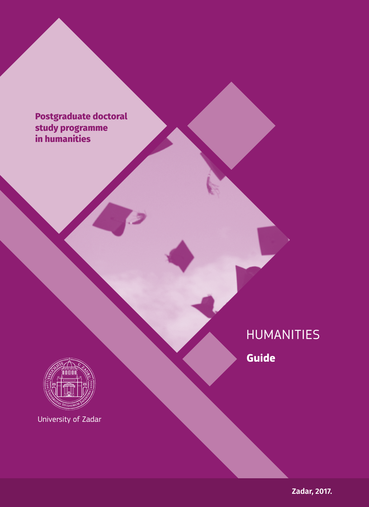**Postgraduate doctoral doktorski studij study programme in humanities**



University of Zadar

HUMANITIES

**Guide**

**Zadar, 2017.**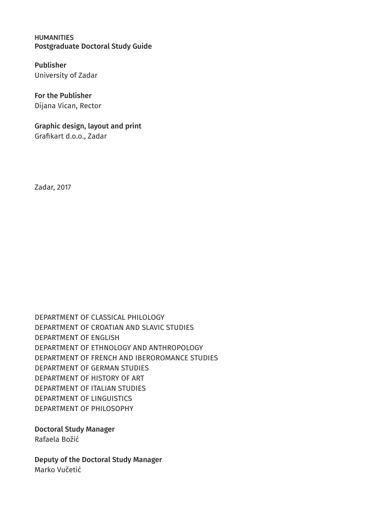HUMANITIES Postgraduate Doctoral Study Guide

Publisher University of Zadar

For the Publisher Dijana Vican, Rector

Graphic design, layout and print Grafikart d.o.o., Zadar

Zadar, 2017

DEPARTMENT OF CLASSICAL PHILOLOGY DEPARTMENT OF CROATIAN AND SLAVIC STUDIES DEPARTMENT OF ENGLISH DEPARTMENT OF ETHNOLOGY AND ANTHROPOLOGY DEPARTMENT OF FRENCH AND IBEROROMANCE STUDIES DEPARTMENT OF GERMAN STUDIES DEPARTMENT OF HISTORY OF ART DEPARTMENT OF ITALIAN STUDIES DEPARTMENT OF LINGUISTICS DEPARTMENT OF PHILOSOPHY

Doctoral Study Manager Rafaela Božić

Deputy of the Doctoral Study Manager Marko Vučetić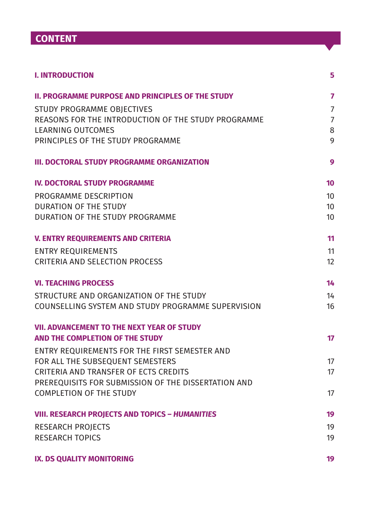# **CONTENT**

| <b>I. INTRODUCTION</b>                                   | 5                |
|----------------------------------------------------------|------------------|
| <b>II. PROGRAMME PURPOSE AND PRINCIPLES OF THE STUDY</b> | 7                |
| STUDY PROGRAMME OBJECTIVES                               | $\overline{7}$   |
| REASONS FOR THE INTRODUCTION OF THE STUDY PROGRAMME      | $\overline{7}$   |
| LEARNING OUTCOMES                                        | 8                |
| PRINCIPLES OF THE STUDY PROGRAMME                        | 9                |
| <b>III. DOCTORAL STUDY PROGRAMME ORGANIZATION</b>        | 9                |
| <b>IV. DOCTORAL STUDY PROGRAMME</b>                      | 10               |
| PROGRAMME DESCRIPTION                                    | 10 <sup>10</sup> |
| DURATION OF THE STUDY                                    | 10               |
| DURATION OF THE STUDY PROGRAMME                          | 10 <sup>1</sup>  |
| <b>V. ENTRY REQUIREMENTS AND CRITERIA</b>                | 11               |
| <b>ENTRY REQUIREMENTS</b>                                | 11               |
| <b>CRITERIA AND SELECTION PROCESS</b>                    | 12               |
| <b>VI. TEACHING PROCESS</b>                              | 14               |
| STRUCTURE AND ORGANIZATION OF THE STUDY                  | 14               |
| COUNSELLING SYSTEM AND STUDY PROGRAMME SUPERVISION       | 16               |
| <b>VII. ADVANCEMENT TO THE NEXT YEAR OF STUDY</b>        |                  |
| AND THE COMPLETION OF THE STUDY                          | 17               |
| ENTRY REQUIREMENTS FOR THE FIRST SEMESTER AND            |                  |
| FOR ALL THE SUBSEQUENT SEMESTERS                         | 17               |
| CRITERIA AND TRANSFER OF ECTS CREDITS                    | 17               |
| PREREQUISITS FOR SUBMISSION OF THE DISSERTATION AND      |                  |
| <b>COMPLETION OF THE STUDY</b>                           | 17               |
| <b>VIII. RESEARCH PROJECTS AND TOPICS - HUMANITIES</b>   | 19               |
| <b>RESEARCH PROJECTS</b>                                 | 19               |
| <b>RESEARCH TOPICS</b>                                   | 19               |
| IX. DS QUALITY MONITORING                                | 19               |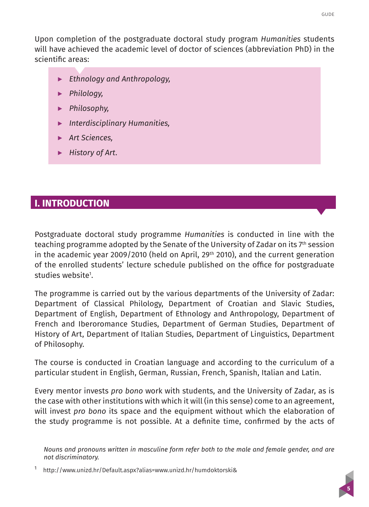<span id="page-4-0"></span>Upon completion of the postgraduate doctoral study program *Humanities* students will have achieved the academic level of doctor of sciences (abbreviation PhD) in the scientific areas:

- **▶** *Ethnology and Anthropology,*
- **▶** *Philology,*
- **▶** *Philosophy,*
- **▶** *Interdisciplinary Humanities,*
- **▶** *Art Sciences,*
- **▶** *History of Art*.

# **I. INTRODUCTION**

Postgraduate doctoral study programme *Humanities* is conducted in line with the teaching programme adopted by the Senate of the University of Zadar on its 7th session in the academic year 2009/2010 (held on April, 29<sup>th</sup> 2010), and the current generation of the enrolled students' lecture schedule published on the office for postgraduate studies website<sup>1</sup>.

The programme is carried out by the various departments of the University of Zadar: Department of Classical Philology, Department of Croatian and Slavic Studies, Department of English, Department of Ethnology and Anthropology, Department of French and Iberoromance Studies, Department of German Studies, Department of History of Art, Department of Italian Studies, Department of Linguistics, Department of Philosophy.

The course is conducted in Croatian language and according to the curriculum of a particular student in English, German, Russian, French, Spanish, Italian and Latin.

Every mentor invests *pro bono* work with students, and the University of Zadar, as is the case with other institutions with which it will (in this sense) come to an agreement, will invest *pro bono* its space and the equipment without which the elaboration of the study programme is not possible. At a definite time, confirmed by the acts of

*Nouns and pronouns written in masculine form refer both to the male and female gender, and are not discriminatory.*

<sup>1</sup> <http://www.unizd.hr/Default.aspx?alias=www.unizd.hr/humdoktorski&>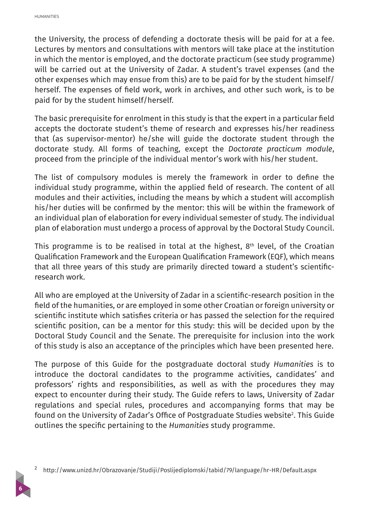**6**

the University, the process of defending a doctorate thesis will be paid for at a fee. Lectures by mentors and consultations with mentors will take place at the institution in which the mentor is employed, and the doctorate practicum (see study programme) will be carried out at the University of Zadar. A student's travel expenses (and the other expenses which may ensue from this) are to be paid for by the student himself/ herself. The expenses of field work, work in archives, and other such work, is to be paid for by the student himself/herself.

The basic prerequisite for enrolment in this study is that the expert in a particular field accepts the doctorate student's theme of research and expresses his/her readiness that (as supervisor-mentor) he/she will guide the doctorate student through the doctorate study. All forms of teaching, except the *Doctorate practicum module*, proceed from the principle of the individual mentor's work with his/her student.

The list of compulsory modules is merely the framework in order to define the individual study programme, within the applied field of research. The content of all modules and their activities, including the means by which a student will accomplish his/her duties will be confirmed by the mentor: this will be within the framework of an individual plan of elaboration for every individual semester of study. The individual plan of elaboration must undergo a process of approval by the Doctoral Study Council.

This programme is to be realised in total at the highest,  $8<sup>th</sup>$  level, of the Croatian Qualification Framework and the European Qualification Framework (EQF), which means that all three years of this study are primarily directed toward a student's scientificresearch work.

All who are employed at the University of Zadar in a scientific-research position in the field of the humanities, or are employed in some other Croatian or foreign university or scientific institute which satisfies criteria or has passed the selection for the required scientific position, can be a mentor for this study: this will be decided upon by the Doctoral Study Council and the Senate. The prerequisite for inclusion into the work of this study is also an acceptance of the principles which have been presented here.

The purpose of this Guide for the postgraduate doctoral study *Humanities* is to introduce the doctoral candidates to the programme activities, candidates' and professors' rights and responsibilities, as well as with the procedures they may expect to encounter during their study. The Guide refers to laws, University of Zadar regulations and special rules, procedures and accompanying forms that may be found on the University of Zadar's Office of Postgraduate Studies website<sup>2</sup>. This Guide outlines the specific pertaining to the *Humanities* study programme.

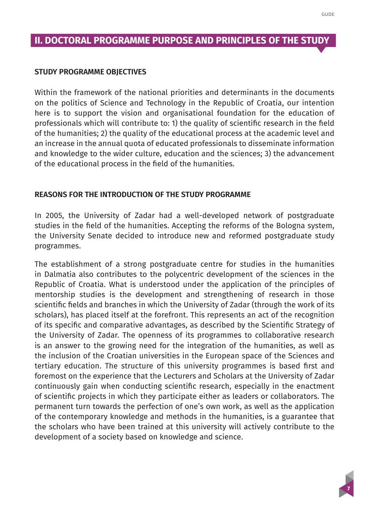#### <span id="page-6-0"></span>**STUDY PROGRAMME OBJECTIVES**

Within the framework of the national priorities and determinants in the documents on the politics of Science and Technology in the Republic of Croatia, our intention here is to support the vision and organisational foundation for the education of professionals which will contribute to: 1) the quality of scientific research in the field of the humanities; 2) the quality of the educational process at the academic level and an increase in the annual quota of educated professionals to disseminate information and knowledge to the wider culture, education and the sciences; 3) the advancement of the educational process in the field of the humanities.

#### **REASONS FOR THE INTRODUCTION OF THE STUDY PROGRAMME**

In 2005, the University of Zadar had a well-developed network of postgraduate studies in the field of the humanities. Accepting the reforms of the Bologna system, the University Senate decided to introduce new and reformed postgraduate study programmes.

The establishment of a strong postgraduate centre for studies in the humanities in Dalmatia also contributes to the polycentric development of the sciences in the Republic of Croatia. What is understood under the application of the principles of mentorship studies is the development and strengthening of research in those scientific fields and branches in which the University of Zadar (through the work of its scholars), has placed itself at the forefront. This represents an act of the recognition of its specific and comparative advantages, as described by the Scientific Strategy of the University of Zadar. The openness of its programmes to collaborative research is an answer to the growing need for the integration of the humanities, as well as the inclusion of the Croatian universities in the European space of the Sciences and tertiary education. The structure of this university programmes is based first and foremost on the experience that the Lecturers and Scholars at the University of Zadar continuously gain when conducting scientific research, especially in the enactment of scientific projects in which they participate either as leaders or collaborators. The permanent turn towards the perfection of one's own work, as well as the application of the contemporary knowledge and methods in the humanities, is a guarantee that the scholars who have been trained at this university will actively contribute to the development of a society based on knowledge and science.

**7**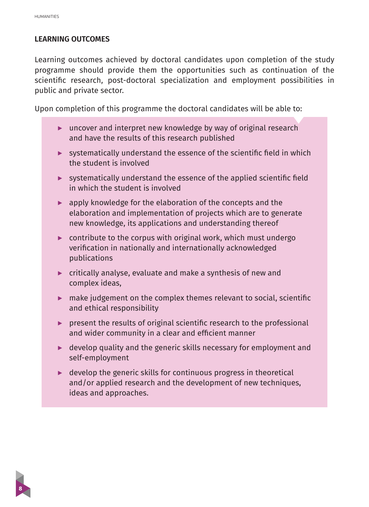#### <span id="page-7-0"></span>**LEARNING OUTCOMES**

Learning outcomes achieved by doctoral candidates upon completion of the study programme should provide them the opportunities such as continuation of the scientific research, post-doctoral specialization and employment possibilities in public and private sector.

Upon completion of this programme the doctoral candidates will be able to:

- **▶** uncover and interpret new knowledge by way of original research and have the results of this research published
- **▶** systematically understand the essence of the scientific field in which the student is involved
- **▶** systematically understand the essence of the applied scientific field in which the student is involved
- **▶** apply knowledge for the elaboration of the concepts and the elaboration and implementation of projects which are to generate new knowledge, its applications and understanding thereof
- **▶** contribute to the corpus with original work, which must undergo verification in nationally and internationally acknowledged publications
- **▶** critically analyse, evaluate and make a synthesis of new and complex ideas,
- **▶** make judgement on the complex themes relevant to social, scientific and ethical responsibility
- **▶** present the results of original scientific research to the professional and wider community in a clear and efficient manner
- **▶** develop quality and the generic skills necessary for employment and self-employment
- **▶** develop the generic skills for continuous progress in theoretical and/or applied research and the development of new techniques, ideas and approaches.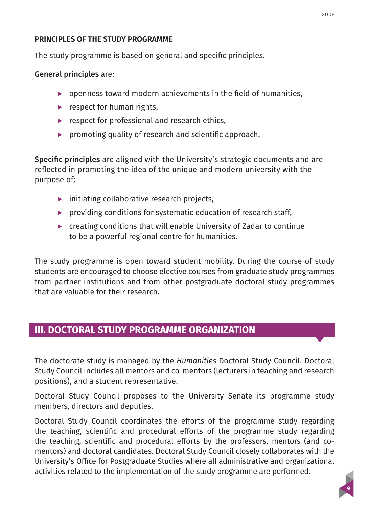#### <span id="page-8-0"></span>**PRINCIPLES OF THE STUDY PROGRAMME**

The study programme is based on general and specific principles.

General principles are:

- ▶ openness toward modern achievements in the field of humanities,
- **▶** respect for human rights,
- **▶** respect for professional and research ethics,
- **▶** promoting quality of research and scientific approach.

Specific principles are aligned with the University's strategic documents and are reflected in promoting the idea of the unique and modern university with the purpose of:

- **▶** initiating collaborative research projects,
- ▶ providing conditions for systematic education of research staff,
- **▶** creating conditions that will enable University of Zadar to continue to be a powerful regional centre for humanities.

The study programme is open toward student mobility. During the course of study students are encouraged to choose elective courses from graduate study programmes from partner institutions and from other postgraduate doctoral study programmes that are valuable for their research.

# **III. DOCTORAL STUDY PROGRAMME ORGANIZATION**

The doctorate study is managed by the *Humanities* Doctoral Study Council. Doctoral Study Council includes all mentors and co-mentors (lecturers in teaching and research positions), and a student representative.

Doctoral Study Council proposes to the University Senate its programme study members, directors and deputies.

Doctoral Study Council coordinates the efforts of the programme study regarding the teaching, scientific and procedural efforts of the programme study regarding the teaching, scientific and procedural efforts by the professors, mentors (and comentors) and doctoral candidates. Doctoral Study Council closely collaborates with the University's Office for Postgraduate Studies where all administrative and organizational activities related to the implementation of the study programme are performed.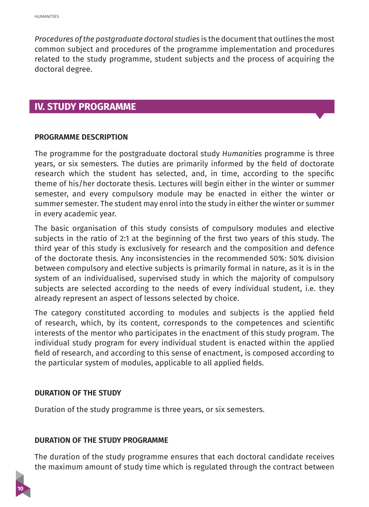<span id="page-9-0"></span>*Procedures of the postgraduate doctoral studies* is the document that outlines the most common subject and procedures of the programme implementation and procedures related to the study programme, student subjects and the process of acquiring the doctoral degree.

## **IV. STUDY PROGRAMME**

#### **PROGRAMME DESCRIPTION**

The programme for the postgraduate doctoral study *Humanities* programme is three years, or six semesters. The duties are primarily informed by the field of doctorate research which the student has selected, and, in time, according to the specific theme of his/her doctorate thesis. Lectures will begin either in the winter or summer semester, and every compulsory module may be enacted in either the winter or summer semester. The student may enrol into the study in either the winter or summer in every academic year.

The basic organisation of this study consists of compulsory modules and elective subjects in the ratio of 2:1 at the beginning of the first two years of this study. The third year of this study is exclusively for research and the composition and defence of the doctorate thesis. Any inconsistencies in the recommended 50%: 50% division between compulsory and elective subjects is primarily formal in nature, as it is in the system of an individualised, supervised study in which the majority of compulsory subjects are selected according to the needs of every individual student, i.e. they already represent an aspect of lessons selected by choice.

The category constituted according to modules and subjects is the applied field of research, which, by its content, corresponds to the competences and scientific interests of the mentor who participates in the enactment of this study program. The individual study program for every individual student is enacted within the applied field of research, and according to this sense of enactment, is composed according to the particular system of modules, applicable to all applied fields.

#### **DURATION OF THE STUDY**

Duration of the study programme is three years, or six semesters.

#### **DURATION OF THE STUDY PROGRAMME**

The duration of the study programme ensures that each doctoral candidate receives the maximum amount of study time which is regulated through the contract between

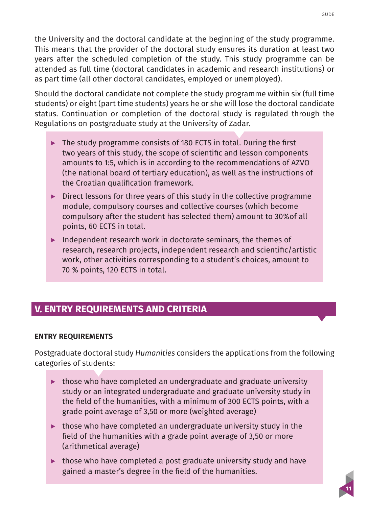**11**

<span id="page-10-0"></span>the University and the doctoral candidate at the beginning of the study programme. This means that the provider of the doctoral study ensures its duration at least two years after the scheduled completion of the study. This study programme can be attended as full time (doctoral candidates in academic and research institutions) or as part time (all other doctoral candidates, employed or unemployed).

Should the doctoral candidate not complete the study programme within six (full time students) or eight (part time students) years he or she will lose the doctoral candidate status. Continuation or completion of the doctoral study is regulated through the Regulations on postgraduate study at the University of Zadar.

- **▶** The study programme consists of 180 ECTS in total. During the first two years of this study, the scope of scientific and lesson components amounts to 1:5, which is in according to the recommendations of AZVO (the national board of tertiary education), as well as the instructions of the Croatian qualification framework.
- **▶** Direct lessons for three years of this study in the collective programme module, compulsory courses and collective courses (which become compulsory after the student has selected them) amount to 30%of all points, 60 ECTS in total.
- **▶** Independent research work in doctorate seminars, the themes of research, research projects, independent research and scientific/artistic work, other activities corresponding to a student's choices, amount to 70 % points, 120 ECTS in total.

# **V. ENTRY REQUIREMENTS AND CRITERIA**

#### **ENTRY REQUIREMENTS**

Postgraduate doctoral study *Humanities* considers the applications from the following categories of students:

- **▶** those who have completed an undergraduate and graduate university study or an integrated undergraduate and graduate university study in the field of the humanities, with a minimum of 300 ECTS points, with a grade point average of 3,50 or more (weighted average)
- **▶** those who have completed an undergraduate university study in the field of the humanities with a grade point average of 3,50 or more (arithmetical average)
- ▶ those who have completed a post graduate university study and have gained a master's degree in the field of the humanities.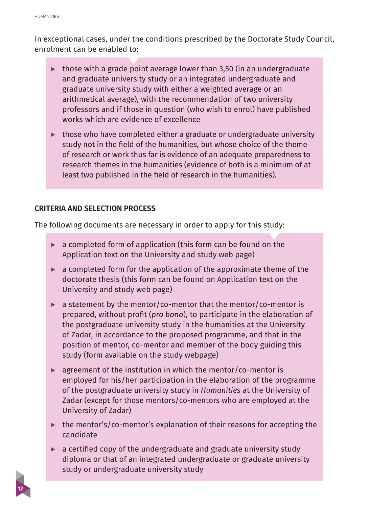<span id="page-11-0"></span>In exceptional cases, under the conditions prescribed by the Doctorate Study Council, enrolment can be enabled to:

- **▶** those with a grade point average lower than 3,50 (in an undergraduate and graduate university study or an integrated undergraduate and graduate university study with either a weighted average or an arithmetical average), with the recommendation of two university professors and if those in question (who wish to enrol) have published works which are evidence of excellence
- **▶** those who have completed either a graduate or undergraduate university study not in the field of the humanities, but whose choice of the theme of research or work thus far is evidence of an adequate preparedness to research themes in the humanities (evidence of both is a minimum of at least two published in the field of research in the humanities).

#### **CRITERIA AND SELECTION PROCESS**

The following documents are necessary in order to apply for this study:

- **▶** a completed form of application (this form can be found on the Application text on the University and study web page)
- **▶** a completed form for the application of the approximate theme of the doctorate thesis (this form can be found on Application text on the University and study web page)
- **▶** a statement by the mentor/co-mentor that the mentor/co-mentor is prepared, without profit (*pro bono*), to participate in the elaboration of the postgraduate university study in the humanities at the University of Zadar, in accordance to the proposed programme, and that in the position of mentor, co-mentor and member of the body guiding this study (form available on the study webpage)
- **▶** agreement of the institution in which the mentor/co-mentor is employed for his/her participation in the elaboration of the programme of the postgraduate university study in *Humanities* at the University of Zadar (except for those mentors/co-mentors who are employed at the University of Zadar)
- **▶** the mentor's/co-mentor's explanation of their reasons for accepting the candidate
- **▶** a certified copy of the undergraduate and graduate university study diploma or that of an integrated undergraduate or graduate university study or undergraduate university study

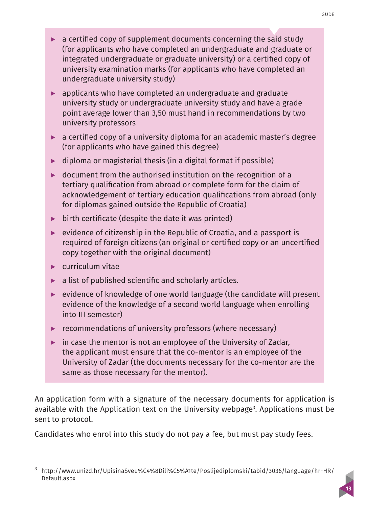- **▶** a certified copy of supplement documents concerning the said study (for applicants who have completed an undergraduate and graduate or integrated undergraduate or graduate university) or a certified copy of university examination marks (for applicants who have completed an undergraduate university study)
- **▶** applicants who have completed an undergraduate and graduate university study or undergraduate university study and have a grade point average lower than 3,50 must hand in recommendations by two university professors
- **▶** a certified copy of a university diploma for an academic master's degree (for applicants who have gained this degree)
- **▶** diploma or magisterial thesis (in a digital format if possible)
- **▶** document from the authorised institution on the recognition of a tertiary qualification from abroad or complete form for the claim of acknowledgement of tertiary education qualifications from abroad (only for diplomas gained outside the Republic of Croatia)
- **▶** birth certificate (despite the date it was printed)
- **▶** evidence of citizenship in the Republic of Croatia, and a passport is required of foreign citizens (an original or certified copy or an uncertified copy together with the original document)
- **▶** curriculum vitae
- **▶** a list of published scientific and scholarly articles.
- **▶** evidence of knowledge of one world language (the candidate will present evidence of the knowledge of a second world language when enrolling into III semester)
- **▶** recommendations of university professors (where necessary)
- **▶** in case the mentor is not an employee of the University of Zadar, the applicant must ensure that the co-mentor is an employee of the University of Zadar (the documents necessary for the co-mentor are the same as those necessary for the mentor).

An application form with a signature of the necessary documents for application is available with the Application text on the University webpage<sup>3</sup>. Applications must be sent to protocol.

Candidates who enrol into this study do not pay a fee, but must pay study fees.

<sup>3</sup> [http://www.unizd.hr/UpisinaSveu%C4%8Dili%C5%A1te/Poslijediplomski/tabid/3036/language/hr-HR/](http://www.unizd.hr/UpisinaSveu%C4%8Dili%C5%A1te/Poslijediplomski/tabid/3036/language/hr-HR/Default.aspx) [Default.aspx](http://www.unizd.hr/UpisinaSveu%C4%8Dili%C5%A1te/Poslijediplomski/tabid/3036/language/hr-HR/Default.aspx)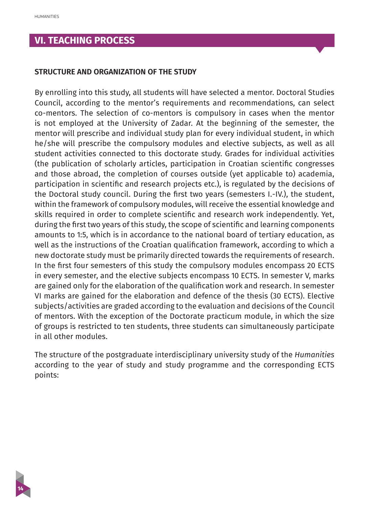# <span id="page-13-0"></span>**VI. TEACHING PROCESS**

#### **STRUCTURE AND ORGANIZATION OF THE STUDY**

By enrolling into this study, all students will have selected a mentor. Doctoral Studies Council, according to the mentor's requirements and recommendations, can select co-mentors. The selection of co-mentors is compulsory in cases when the mentor is not employed at the University of Zadar. At the beginning of the semester, the mentor will prescribe and individual study plan for every individual student, in which he/she will prescribe the compulsory modules and elective subjects, as well as all student activities connected to this doctorate study. Grades for individual activities (the publication of scholarly articles, participation in Croatian scientific congresses and those abroad, the completion of courses outside (yet applicable to) academia, participation in scientific and research projects etc.), is regulated by the decisions of the Doctoral study council. During the first two years (semesters I.-IV.), the student, within the framework of compulsory modules, will receive the essential knowledge and skills required in order to complete scientific and research work independently. Yet, during the first two years of this study, the scope of scientific and learning components amounts to 1:5, which is in accordance to the national board of tertiary education, as well as the instructions of the Croatian qualification framework, according to which a new doctorate study must be primarily directed towards the requirements of research. In the first four semesters of this study the compulsory modules encompass 20 ECTS in every semester, and the elective subjects encompass 10 ECTS. In semester V, marks are gained only for the elaboration of the qualification work and research. In semester VI marks are gained for the elaboration and defence of the thesis (30 ECTS). Elective subjects/activities are graded according to the evaluation and decisions of the Council of mentors. With the exception of the Doctorate practicum module, in which the size of groups is restricted to ten students, three students can simultaneously participate in all other modules.

The structure of the postgraduate interdisciplinary university study of the *Humanities* according to the year of study and study programme and the corresponding ECTS points:

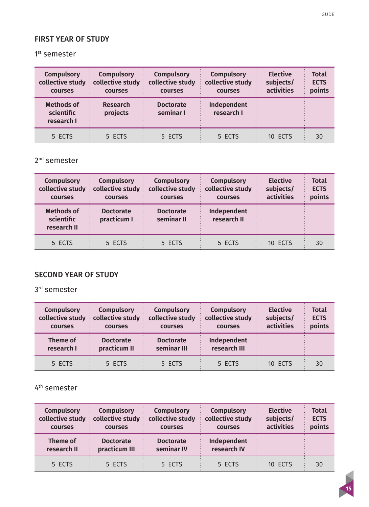## FIRST YEAR OF STUDY

1<sup>st</sup> semester

| <b>Compulsory</b><br>collective study<br>courses | <b>Compulsory</b><br>collective study<br>courses | <b>Compulsory</b><br>collective study<br>courses | <b>Compulsory</b><br>collective study<br>courses | <b>Elective</b><br>subjects/<br>activities | <b>Total</b><br><b>ECTS</b><br>points |
|--------------------------------------------------|--------------------------------------------------|--------------------------------------------------|--------------------------------------------------|--------------------------------------------|---------------------------------------|
| <b>Methods of</b><br>scientific<br>research I    | Research<br>projects                             | <b>Doctorate</b><br>seminar I                    | Independent<br>research I                        |                                            |                                       |
| 5 ECTS                                           | 5 ECTS                                           | 5 ECTS                                           | 5 ECTS                                           | 10 ECTS                                    | 30                                    |

2<sup>nd</sup> semester

| Compulsory<br>collective study<br>courses      | <b>Compulsory</b><br>collective study<br>courses | <b>Compulsory</b><br>collective study<br>courses | <b>Compulsory</b><br>collective study<br>courses | <b>Elective</b><br>subjects/<br>activities | <b>Total</b><br><b>ECTS</b><br>points |
|------------------------------------------------|--------------------------------------------------|--------------------------------------------------|--------------------------------------------------|--------------------------------------------|---------------------------------------|
| <b>Methods of</b><br>scientific<br>research II | <b>Doctorate</b><br>practicum I                  | <b>Doctorate</b><br>seminar II                   | Independent<br>research II                       |                                            |                                       |
| 5 ECTS                                         | 5 ECTS                                           | 5 ECTS                                           | 5 ECTS                                           | 10 ECTS                                    | 30                                    |

#### SECOND YEAR OF STUDY

3rd semester

| <b>Compulsory</b><br>collective study<br>courses | <b>Compulsory</b><br>$\pm$ collective study $\pm$<br>courses | <b>Compulsory</b><br>collective study<br>courses | <b>Compulsory</b><br>collective study<br>courses | <b>Elective</b><br>subjects/<br>activities | <b>Total</b><br><b>ECTS</b><br>points |
|--------------------------------------------------|--------------------------------------------------------------|--------------------------------------------------|--------------------------------------------------|--------------------------------------------|---------------------------------------|
| Theme of<br>research I                           | <b>Doctorate</b><br>practicum II                             | <b>Doctorate</b><br>seminar III                  | Independent<br>research III                      |                                            |                                       |
| 5 ECTS                                           | 5 ECTS                                                       | 5 ECTS                                           | 5 ECTS                                           | 10 ECTS                                    | 30                                    |

4th semester

| <b>Compulsory</b><br>collective study<br>courses | <b>Compulsory</b><br>collective study<br>courses | <b>Compulsory</b><br>collective study<br>courses | <b>Compulsory</b><br>collective study<br>courses | <b>Elective</b><br>subjects/<br>activities | <b>Total</b><br><b>ECTS</b><br>points |
|--------------------------------------------------|--------------------------------------------------|--------------------------------------------------|--------------------------------------------------|--------------------------------------------|---------------------------------------|
| Theme of<br>research II                          | <b>Doctorate</b><br>practicum III                | <b>Doctorate</b><br>seminar IV                   | Independent<br>research IV                       |                                            |                                       |
| 5 ECTS                                           | 5 ECTS                                           | 5 ECTS                                           | 5 ECTS                                           | 10 FCTS                                    | 30                                    |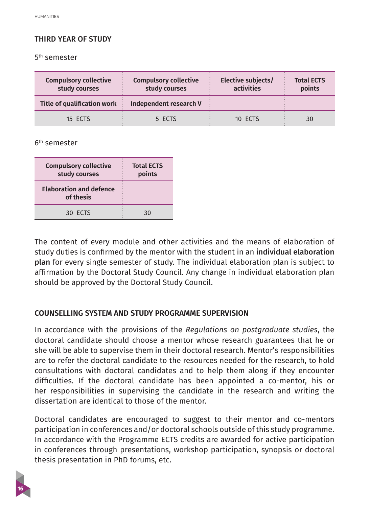#### <span id="page-15-0"></span>THIRD YEAR OF STUDY

5th semester

| <b>Compulsory collective</b><br>study courses | <b>Compulsory collective</b><br>study courses | Elective subjects/<br>activities | <b>Total ECTS</b><br>points |
|-----------------------------------------------|-----------------------------------------------|----------------------------------|-----------------------------|
| Title of qualification work                   | Independent research V                        |                                  |                             |
| 15 ECTS                                       | 5 ECTS                                        | 10 ECTS                          | 30                          |

6th semester

| <b>Compulsory collective</b><br>study courses | <b>Total ECTS</b><br>points |
|-----------------------------------------------|-----------------------------|
| <b>Elaboration and defence</b><br>of thesis   |                             |
| 30 ECTS                                       | 30                          |

The content of every module and other activities and the means of elaboration of study duties is confirmed by the mentor with the student in an individual elaboration plan for every single semester of study. The individual elaboration plan is subject to affirmation by the Doctoral Study Council. Any change in individual elaboration plan should be approved by the Doctoral Study Council.

#### **COUNSELLING SYSTEM AND STUDY PROGRAMME SUPERVISION**

In accordance with the provisions of the *Regulations on postgraduate studies*, the doctoral candidate should choose a mentor whose research guarantees that he or she will be able to supervise them in their doctoral research. Mentor's responsibilities are to refer the doctoral candidate to the resources needed for the research, to hold consultations with doctoral candidates and to help them along if they encounter difficulties. If the doctoral candidate has been appointed a co-mentor, his or her responsibilities in supervising the candidate in the research and writing the dissertation are identical to those of the mentor.

Doctoral candidates are encouraged to suggest to their mentor and co-mentors participation in conferences and/or doctoral schools outside of this study programme. In accordance with the Programme ECTS credits are awarded for active participation in conferences through presentations, workshop participation, synopsis or doctoral thesis presentation in PhD forums, etc.

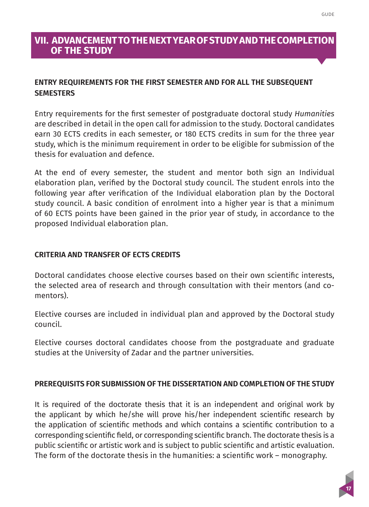## <span id="page-16-0"></span>**VII. ADVANCEMENT TO THE NEXT YEAR OF STUDY AND THE COMPLETION OF THE STUDY**

#### **ENTRY REQUIREMENTS FOR THE FIRST SEMESTER AND FOR ALL THE SUBSEQUENT SEMESTERS**

Entry requirements for the first semester of postgraduate doctoral study *Humanities* are described in detail in the open call for admission to the study. Doctoral candidates earn 30 ECTS credits in each semester, or 180 ECTS credits in sum for the three year study, which is the minimum requirement in order to be eligible for submission of the thesis for evaluation and defence.

At the end of every semester, the student and mentor both sign an Individual elaboration plan, verified by the Doctoral study council. The student enrols into the following year after verification of the Individual elaboration plan by the Doctoral study council. A basic condition of enrolment into a higher year is that a minimum of 60 ECTS points have been gained in the prior year of study, in accordance to the proposed Individual elaboration plan.

#### **CRITERIA AND TRANSFER OF ECTS CREDITS**

Doctoral candidates choose elective courses based on their own scientific interests, the selected area of research and through consultation with their mentors (and comentors).

Elective courses are included in individual plan and approved by the Doctoral study council.

Elective courses doctoral candidates choose from the postgraduate and graduate studies at the University of Zadar and the partner universities.

#### **PREREQUISITS FOR SUBMISSION OF THE DISSERTATION AND COMPLETION OF THE STUDY**

It is required of the doctorate thesis that it is an independent and original work by the applicant by which he/she will prove his/her independent scientific research by the application of scientific methods and which contains a scientific contribution to a corresponding scientific field, or corresponding scientific branch. The doctorate thesis is a public scientific or artistic work and is subject to public scientific and artistic evaluation. The form of the doctorate thesis in the humanities: a scientific work – monography.

# **17**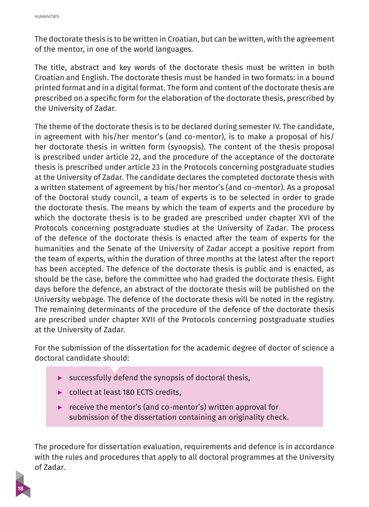The doctorate thesis is to be written in Croatian, but can be written, with the agreement of the mentor, in one of the world languages.

The title, abstract and key words of the doctorate thesis must be written in both Croatian and English. The doctorate thesis must be handed in two formats: in a bound printed format and in a digital format. The form and content of the doctorate thesis are prescribed on a specific form for the elaboration of the doctorate thesis, prescribed by the University of Zadar.

The theme of the doctorate thesis is to be declared during semester IV. The candidate, in agreement with his/her mentor's (and co-mentor), is to make a proposal of his/ her doctorate thesis in written form (synopsis). The content of the thesis proposal is prescribed under article 22, and the procedure of the acceptance of the doctorate thesis is prescribed under article 23 in the Protocols concerning postgraduate studies at the University of Zadar. The candidate declares the completed doctorate thesis with a written statement of agreement by his/her mentor's (and co-mentor). As a proposal of the Doctoral study council, a team of experts is to be selected in order to grade the doctorate thesis. The means by which the team of experts and the procedure by which the doctorate thesis is to be graded are prescribed under chapter XVI of the Protocols concerning postgraduate studies at the University of Zadar. The process of the defence of the doctorate thesis is enacted after the team of experts for the humanities and the Senate of the University of Zadar accept a positive report from the team of experts, within the duration of three months at the latest after the report has been accepted. The defence of the doctorate thesis is public and is enacted, as should be the case, before the committee who had graded the doctorate thesis. Eight days before the defence, an abstract of the doctorate thesis will be published on the University webpage. The defence of the doctorate thesis will be noted in the registry. The remaining determinants of the procedure of the defence of the doctorate thesis are prescribed under chapter XVII of the Protocols concerning postgraduate studies at the University of Zadar.

For the submission of the dissertation for the academic degree of doctor of science a doctoral candidate should:

- **▶** successfully defend the synopsis of doctoral thesis,
- **▶** collect at least 180 ECTS credits,
- **▶** receive the mentor's (and co-mentor's) written approval for submission of the dissertation containing an originality check.

The procedure for dissertation evaluation, requirements and defence is in accordance with the rules and procedures that apply to all doctoral programmes at the University of Zadar.